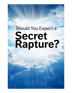# **Should You Expect a** Secret<br>Rapture?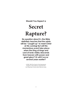**Should You Expect a**

# **Secret Rapture?**

**No question about it—the Bible** *definitely* **teaches that the saints will be "caught up" to meet Christ at His coming! But will this momentous event take place when the King of kings and Lord of lords visibly descends from heaven with power and great glory? Or will it occur several years earlier?**

> © 2000, 2009 The Church of God International Scriptures in this booklet are quoted from the New King James Version unless otherwise noted.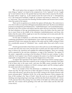**T**he word *rapture* does not appear in the Bible. Nevertheless, words that mean the same thing as "rapture" *are* found in the scriptural text. To be "raptured" is to be "caught up" to meet Christ in the air. The apostle Paul says that when Christ comes for His church, the saints will be *"caught up*…in the clouds lo meet the Lord in the air" (1 Thessalonians 4:17). The Greek term translated "caught up" is *harpazo* and means to "snatch out," "seize," or "catch away." This is precisely the meaning Christian authors and lecturers have in mind when they speak of the rapture.

There can be no question as to *whether* the rapture will take place. The controversy is over *when* it will occur and *what* will happen immediately afterward. The three most debated positions are designated "pretribulationism," "midtribulationism," and "posttribulationism," and refer to the views of those who believe that the saints will rise to meet their Lord *before*  the final tribulation of this age (pretribulationism), those who believe that the saints will rise to meet Christ in the *middle* of the tribulation (midtribulationism), and those who believe that the saints will be caught up to meet the returning Lord at some point *after* the tribulation (posttribulationism).

For the sake of simplicity, w e will reduce these debated views to two categories by combining pretribulation and midtribulation views under the heading of "pretrib," since exponents of both views separate the rapture of the saints and the visible coming of Christ by a considerable amount of "tribulation" time—usually either three-and-a-half or seven years.

Pretrib exponents believe that Christ came to this earth once (as the Suffering Servant of God) and will come twice more, the first time to snatch away the saints and the second time to destroy the Antichrist and establish the millennial kingdom. These two comings will be separated by the end-time tribulation, or reign of the Antichrist. The rapture of the saints—supposedly occurring in the first phase of Christ's two-part coming—is often called the *"secret* rapture," since Christ's coming for the saints is "as a thief in the night" and supposedly accompanied by no sign except the disappearance of the saints.

To support this separation of the rapture of the saints from Christ's coming in glory, pretribulationists often claim that scriptures on the coming of Christ contradict each other if all of them refer to the same event—and since the Bible cannot contradict itself, the seemingly contradictory scriptures on Christ's coming in glory and His coming to gather the saints must refer to two distinct events.

Here is an example of how this dichotomy is established: In the Olivet prophecy, Christ says that "the sign of the Son of Man will appear in heaven, and then all the tribes of the earth will mourn, and will see the Son of Man coming on the clouds of heaven with power and great glory" (Matthew 24:30). Yet, in the same discourse, Christ compares the time of His coming to the "days of Noah," when life went on as usual with "eating and drinking, marrying and giving in marriage, until the day that Noah entered the ark" (verses 37,38), and says that at His coming "two men will be in the field: one will be taken and the other left. Two women will be grinding at the mill: one will be taken and the other left" (verses 40,41).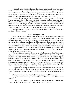Pretrib advocates claim that these two descriptions cannot possibly refer to the same event, for one "coming" takes place during a time when people are engaging in ordinary social and business activities and apparently enjoying the normal pleasures of life, but the other "coming" is preceded by cosmic upheaval (verse 29) and causes the "tribes of the earth" to "mom" as they witness the spectacular return of Christ to this earth.

With this dichotomy, pretribulationists are able to fit other passages on the Second Coming and gathering of the saints onto their prophetic timeline. John 14:3 and 1 Thessalonians 4:17 belong to the "pretrib" section of the chart, while Matthew 24:27 and 2 Thessalonians 2:8 fit that segment of the timeline designated "post-trib." The first of these two interventions is to rapture the church; the second is to rescue Israel from the terrible reign of the Antichrist and establish the millennial kingdom upon this earth.

But do these events—the catching up of the saints and destruction of the Antichrist require two distinct comings?

# **One Coming or Two?**

While the end-time tribulation will undoubtedly affect the world in general, it will not affect every nation equally. Both Old and New Testament prophecies indicate that the brunt of the tribulation will be felt in Judea. Before intervening to rescue a righteous "remnant of the people," God "will make Jerusalem a cup of drunkenness to all the surrounding peoples, when they lay siege against Judah and Jerusalem" (Zechariah 12:2; 14:2). The book of Revelation tells us that the gentiles "will tread the holy city [Jerusalem] underfoot for fortytwo months" (Revelation 11:2). The "great tribulation" of which Jesus spoke in the Olivet prophecy pertains particularly to "those who are in Judah" (Matthew 24:16,21), though its effects are not restricted to that area.

The days of Noah were days of widespread wickedness, a time when "the thoughts of [man's] head was only evil continually" (Genesis 6:5), and when the earth was "corrupt before God" and "filled with violence" (verses 11,13). Because man's wickedness was so great, God determined that He would "destroy from under heaven all flesh in which is the breath of life" except Noah and his family (verses 17:18). Yet, interestingly, the horrendous violence and corruption that characterized the days of Noah did not prevent the construction of the ark. Jesus ells us that the day-to-day affairs of life—eating, drinking, marrying, and so forth—continued right up to the day Noah entered the ark.

The point is that the day-to-day affairs of life can coexist with widespread corruption. In other words, life goes on even in the midst of tribulation. We need not assume that the "coming" of Matthew 24:30 occurs at a time different from the "coming" of Matthew 24:36- 44.

Notice the order of events described in this section of the Olivet prophecy:

1) Spectacular heavenly signs immediately follow "the tribulation of those days" (verse 29).

2) The "sign of the Son of Man" appears; the nations mourn; and Christ is seen "coming on the clouds of heaven with power and great glory" (verse 30).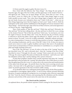3) Christ sends His angels to gather His elect (verse 31).

Next, Christ tells His followers that "these things"—the things He just spoke of: heavenly signs, the sign of the Son of Man, and His appearance in the clouds of heaven will signal the end. "When you see these things," He says, "know that it is near—at the very doors!" (verse 33). What is the "it" that is near when "these things" begin to occur? Luke's parallel account reads, "Now when these things begin to happen, look up and lift up your heads, because *your redemption* draws near" (Luke 21:28); and, "…when you see these things happening, know that *the kingdom of God* is near" (Luke 21:28,31). Both the redemption of the saints and the establishment of the Kingdom of God are imminent when "these things"—the heavenly signs, sign of the Son of Man in heaven, and actual appearance of Christ in the sky—begin happening.

Then, Christ speaks of "that day and hour." Which day and hour? Obviously, the "day and hour" He has been talking about—the day and hour in which He is *seen* coming on the clouds of heaven! "But of that day and hour," Christ says, "no one knows, not even the angels of heaven, but My Father only" (verse 36), Because the day of Christ's coming is unknown to all but the Father, Christ urges His followers to "Watch" (verse 42), which means to always "be ready" (verse 44), to abide continually—faithfully, without wavering in a state of preparedness. It means to avoid allowing ourselves to become "weighted down with carousing, drunkenness, and the cares of this life" (Luke 21:34). (It does *not* mean to search news sources in order to gather headlines and reports that seem to fit prophesied events! Such an interpretation of Christ's exhortation to watchfulness is a *corruption* of the plain and simple meaning of the text.)

Now, if the "day and hour" of verse 36 refers to the time of the "coming" Jesus has just described (verse 30)—and it obviously does!—then the "coming of the Son of Man" described in verses 37 through 44 is the *same* "coming." Christ comes only *once* in the end of the age. He comes to gather His saints *arid* destroy the Antichrist—and it all occurs *"after*  the tribulation of those days" and the shaking of the "powers of heaven."

To keep their prophetic timeline intact, pretrib exponents must place the "coming" described later in the text *before* the "coming" described earlier. Also, if their theory is correct then the gathering of the elect (verse 31) cannot refer to the resurrection and transformation of the saints from all past ages—the pretrib theory has that event occurring several years earlier—but must refer to the gathering of a separate class of believers (called "tribulation saints" by pretrib exponents) at the time of Christ's visible coming.

As we should be able to see, making the pretrib rapture theory fit the Olivet prophecy is comparable to rearranging a jigsaw puzzle—it can't be done without seriously distorting the pieces. It requires making one coming into two, reversing the order of the text, separating the "elect" from the church of history, and assuming that the tribulation and the ordinary pleasures and activities of life cannot exist at the same time on the same planet.

# **The Church and the Antichrist**

As explained above, the pretrib scheme separates Christ's coming for His church from His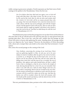visible coming in great power and glory. Pretrib exponents say that Paul wrote of both comings in his epistles to the Thessalonians. Notice the first one:

> *For if we believe that Jesus died and rose again, even so God will bring with Him those, who sleep in Jesus. For this we say to you by the word of the Lord, that we who are alive and remain until the COMING OF THE LORD will by no means precede those who are asleep. FOR THE LORD HIMSELF WILL DESCEND FROM HEAVEN with a shout, with the voice of an archangel, and with the trumpet of God. And the dead in Christ will rise first. Then we who are alive and remain shall be caught up together with them in the clouds to meet the Lord in the air: And thus we shall always be with the Lord* (1 Thessalonians 4:13-17).

Pretribulationists point out that this passage does not say that Christ and the believers who meet Him in the air will descend to the earth the same day (or same general time) the meeting takes place. This is true, but—note this well—neither does the passage say that Christ will return to heaven after gathering His saints. Standing alone, the passage neither proves nor disproves the "secret rapture." However, the description of Christ descending with a shout and a trumpet blast casts doubt on the notion that Paul envisioned a "secret" rapture.

Now, notice the second passage on the coming of the Lord:

*Now, brethren, concerning the corning of our Lord Jesus Christ and our gathering together to Him, we ask you, not to be soon shaken in mind or troubled, either by spirit or by word or by letter, as if from us, as though the day of Christ had come. Let no one deceive you by any means; for that Day will not come unless the falling away comes first, and the man of sin is revealed, the son of perdition, who opposes and exalts himself above all that is called God or that is worshiped, so that he sits as God in the temple of God, showing himself that he is God. Do you not remember that when I was still with you I told you these things? And now you know what is restraining, that he may be revealed in his own time. For the mystery of lawlessness is already at work; only He who now restrains will do so until He is taken out of the way. And then the lawless one will be revealed, whom the Lord will consume with the breath of His mouth and destroy with the BRIGHTNESS OF HIS COMING* (2 Thessalonians 2:1-8).

This text, pretribulationists claim, pertains to the *visible* coming of Christ, not to His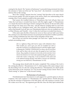coming for the church. The "mystery of lawlessness" is presently being restrained, but when the restrainer is "taken out of the way" the "man of sin"—the Antichrist—is revealed. Christ destroys Him at His coming.

But is this "coming" separate from the "coming" Paul describes to the same church in his previous epistle? We need not guess at the answer; Paul's own understanding of the coming of the I Lord is plainly revealed in this same epistle.

Paul assures the troubled believers of Thessalonica that God will give them rest "when the Lord Jesus is revealed from heaven with His mighty angels" (2 Thessalonians 1:7). Surely this must be referring to Christ's coming for His church, for the text tells us that God will give the saints rest at that time—and the believers needing relief (or rest) from their troubles are not "tribulation saints" only, They include the Thessalonian believers as well as Paul himself: God will "give *you* [Thessalonian believers] who are troubled rest *with us* [Paul, Silvanus, and Timothy—verse 1] when the Lord Jesus is revealed from heaven…"

If the saints enjoy the bliss of heaven for seven (or three and one-half) years before this coming occurs, then Paul's assurances of a promised rest from their troubles is pointless. So this coming is definitely the time when Christ will gather all His saints.

But we have not read the entire passage! Let's read verse 7 again, but this time let's include surrounding verses:

> *[I]t is a righteous thing with God to repay with tribulation those Who trouble you, and to give you who are troubled rest with us when the Lord Jesus is revealed from heaven with His mighty angels, in flaming fire TAKING VENGEANCE on those who do not know God, and on those who do not obey the gospel of our Lord Jesus Christ. These shall be PUNISHED WITH EVERLASTING DESTRUCTION FROM THE PRESENCE OF THE LORD and front the glory of His power; WHEN HE COMES, in that Day, TO BE GLORIFIED in His saints and to be admired among all those who believe, because our testimony among you was believed* (2 Thessalonians 1:6-10).

This passage alone should settle the matter completely! This coming of the Lord is the coming described in 1 Thessalonians 4:15-17, which speaks of the saints rising to meet the descending Lord. It is also the coming described in 2 Thessalonians 2:8, which speaks of the destruction of the Antichrist. It is THE Second Coming of Jesus Christ! There is no "third coming" or "phase two" of the Second Coming.

#### **The Restrainer of Lawlessness**

Pretribulationists have been known to seek support for a pretrib rapture in obscure scriptures. One such scripture is 2 Thessalonians 2:6,7 (quoted above). Pretrib advocates say that the restrainer of lawlessness is the Holy Spirit, who will continue to restrain "until He is taken out of the way." The argument goes like this: Since the Holy Spirit indwells the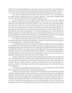church, His restraining influence is present only as long as the church is present. But once the church is removed, the Spirit's special presence is also removed. He has been "taken out of the way," and no longer restrains lawlessness through His earthly agency, the church.

Here, then, is another piece of evidence for a pretrib rapture—or so we are told. But in order to use this argument in favor of a pretrib rapture, it is necessary to reshape some important pieces to make them fit the prophetic jigsaw puzzle.

Pretrib exponents have to conclude that the Holy Spirit is not with the 144,000, who will become believers during the tribulation, in the same special way He was with the church. Yet, the Bible tells us that the 144,000 are the "servants of our God" (Revelation 7:3), and are "sealed [with the "seal of the living God"] on their foreheads" (verses 2,3). Many commentators link this sealing for protection with the reception of the Holy Spirit, pointing out that believers are *"sealed* with the Holy Spirit of promise" (Ephesians 1:13), and *"sealed* for the day of redemption" by the Spirit (Ephesians 4:30), If the 144,000 are believers indwelt by the Holy Spirit, then how is it that the Spirit's influence as the restrainer of lawlessness has been taken away? The only way pretribulationists can answer is by saying that the 144,000 do not have the Spirit in the special way the church had it.

This doesn't fit the biblical description of this group. In fact, it doesn't even fit the description offered by many pretrib exponents. At least one well-known pretribulationist says this group is like " 144,000 Jewish Billy Grahams."

And what of the two witnesses? Do they not have the Holy Spirit in the same special way the church had it? God works powerfully through them, giving them power to perform spell-binding miracles similar to the miracles that occurred under the ministries of Moses and Elijah (Revelation 11:5,6). When they are killed, "those from the peoples, tribes, tongues, and nations will see their dead bodies three-and-a-half days….And those who dwell on the earth will rejoice over them, make merry, and send gifts to one another, because these two prophets tormented those who dwell on the earth" (verses 9,10).

There is hardly a lack of evidence for the Spirit's special presence in the ministry of the two witnesses; and the widespread knowledge of them and rejoicing over their deaths indicates that their influence is not restricted to some remote corner of the world. If the two witnesses and the 144,000 do little or nothing to restrain the mystery of lawlessness, it is hard to see how the church's presence on the earth would prevent or even hinder the reign of the Antichrist.

Paul always speaks plainly of the Holy Spirit, so it is not likely that he had the Holy Spirit in mind when he spoke of the restrainer of lawlessness.

What, then, is the restrainer of lawlessness? We cannot be certain, but Paul is possibly speaking of the Roman government, which acted as a restrainer of lawlessness until ungodly emperors abandoned the principles of sound government and began persecuting the righteous. Paul says that legitimate governing authorities are from God, that the ruler who is "not a terror to good works, but to evil" is "God's minister to you for good" (Romans 13:1-4). Caesar, as long as his government was for the common good, served as a restrainer of lawlessness. When the ruler abandoned the principles of good government and permitted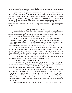the oppression of godly men and women, he became an antichrist and his government became a corrupt, demonic system.

In principle, the same applies to any government. To a great extent, many governments in today's world restrain lawlessness by punishing criminals and establishing checks and balances to prevent tyranny. When the restraining powers are removed, the lawless run amok, terrorizing society and bringing to ruin the last vestiges of liberty. This is the situation that will result in the revealing of the "lawless one" (2 Thessalonians 2:8), or Antichrist.

This view of the restrainer of lawlessness seems more plausible than the interpretation that identifies the restrainer as the Holy Spirit. Again, we find no real support for a pretrib rapture.

#### **Revelation and the Rapture**

Pretribulationists are fond of pointing out that the church is merrtioned nineteen times in the first three chapters of Revelation, but is not mentioned at all in the fourth through twenty-first chapters. This, they claim, suggests that the church is not on the earth during the turbulent times described in the largest portion of the book.

One of the problems of this view is that the book of Revelation makes repeated references to the "saints" who are on earth throughout the tribulation. The saints are those "who keep the commandments of God and have the testimony of Jesus" (Revelation 12:17; cf. 14:12; 19:10). They are obviously Christians—committed believers, members of the true church-who find themselves at odds with the Antichrist (see Revelation 13:7-10).

To prevent such details from interfering with their prophetic timetable, pretribulationists create a distinction between the church and the saints. The saints of the book of Revelation, they claim, are the "tribulation saints"—those who repent and turn to Christ in faith *after* the church has been snatched out in the rapture. They become believers *after* the close of the dispensation known as the "church age."

The proof? There is none, just *inferences* based on preconceived ideas. If the preconceived ideas are wrong, then the inferences are wrong as well.

Here are some examples of such inferences:

1) After John receives the messages to the seven churches (Revelation 2-3), he is taken to heaven in vision. The seven churches symbolize the "church age," which from the pretrib point of view ends just before the tribulation begins. John's visionary ascension symbolizes the rapture of the church at the conclusion of the church age.

2) Many commentators understand Revelation 1:19 as the outline for the entire book. The "things which you have seen" are the things John had seen in his vision of Christ (verses 9-18); the "things which are" concern the seven churches (chapters 2-3); the "things which will take place after this" refer to future events. Since there is no mention of the "church" or "churches" in any of the descriptions of the tribulation, which belongs to the category of "things which will take place after this," the church must have been "caught up" before the tribulation began.

3) God promises to keep the faithful believers of the Philadelphia church "from the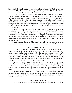hour of trial which shall come upon the whole world, to test those who dwell on the earth" (Revelation 3:10). This suggests that the pretrib saints (represented by the Philadelphia church) will not be on the earth when the "hour of trial" occurs.

4) The catching-up of the church will involve both the resurrection of the dead saints and transformation of the living (1 Thessalonians 4:16,17), while the resurrection described in Revelation 20:4,5 involves only those who "had been beheaded for their witness to Jesus and for the word of God, who had not worshiped the beast or his image" (Revelation 20:4,5). Therefore the catching-up of the church and the raising of these martyrs must be two separate events, the latter occurring after the visible coming of Christ (described in chapter 19) and involving only the "tribulation saints." The two events are two phases of the "first resurrection."

Remember, these are *inferences;* they have been *read into* the text. If the secret rapture cannot be proven true from other scriptural texts, the book of Revelation offers no real support for the theory. Without pretrib assumptions guiding a person's study of Revelation, it is extremely unlikely that he would understand the persecuted and martyred saints as separate from the church of history and the present. He would not think of John's visionary experience of heaven as a symbol of a secret rapture; nor would divide the first resurrection into two phases.

Pretribulationists should carefully consider the following responses to the above arguments. (These responses correspond to the order of the four arguments above.)

#### **John's Visionary Ascension**

1) All of John's visions of things to come do not occur while he is "in the Spirit" before the heavenly throne. At times he is on earth; at other times he is in heaven. In one vision he sees a "mighty angel *coming down from* heaven" (Revelation 10:1), and hears "a voice *from* heaven" (verse 4). The angel stands with "his right foot *on the sea* and his left foot *on the land"* (verse 2), and the voice *"from* heaven" tells John to "take the little book which is open in the hand of the angel who stands on the sea and on the earth" (verse 8). John is obviously on the earth when he sees the angel come down.

Then, John is told to "measure the temple of God, the altar, and those who worship there" (Revelation 11:1). This is not a heavenly temple and altar, for John is told to "leave out the court which is outside the temple…or it *has been given to the Gentiles.* And they will tread the holy city underfoot for forty-two months" (verse 2). Again we find John on the earth.

If John's visionary translation to the throne room of heaven prefigures a pretrib rapture of the saints, what do his reappearances on the earth mean? These shifts from earth to heaven and back again dissolve the link between John's visionary ascension and the socalled "secret rapture."

#### **The Church and the Tribulation**

2) There is no question that the "things which must take place after this" are future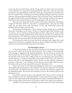to the time John was told of them, and the "things which are" relate to the seven churches of Asia. However, it is important to understand that the "after this" events do not pertain exclusively to the final tribulation of the close of the age. During John's day and afterward, the seven-headed "beast" of Revelation 13 existed as the Roman Empire and its succession of emperors, who persecuted and killed Christians. The two-horned "beast" from the land was the pagan priesthood that promoted allegiance to Rome through worship of the emperor. Both these systems existed in history and will emerge again in the time of the end.

There can be no doubt that the first readers of the book of Revelation immediately recognized "MYSTERY, BABYLON THE GREAT" as imperial Rome, "that great city which reigns over the kings of the earth" (Revelation 17:5,18). The "Babylonian" system will manifest itself once again in the end-time.

The historical manifestations of these demonic systems should tell us something about their reemergence in the future. The fact is, Christians-Spirit-filled members of the true church—were *severely persecuted* by the historical "beast." They were the "saints" of that period, and they certainly understood the call for patience and faith as an exhortation for them (Revelation 13:10). Why, then, would anyone think that the present church is distinct from the saints who are persecuted by the final manifestation of the beast?

The fact that the words *church* and *churches* do not appear after chapter three until near the end of the book is completely irrelevant. A church is simply an assembly of saints and they are mentioned throughout the book of Revelation.

#### **The Philadelphia Church**

3) The seven churches of Asia were literal churches, but the messages sent to them are not only for them, but are for the church universal. This is evident in the universality of the message as suggested in the repeated exhortation, "He who has an ear, let him hear what the Spirit says to the churches" (Revelation 2:7,11,17,29; 3:6,13,22). The messages to the churches are for *anyone* who is willing to hear. It is not surprising, then, that the letters include references to a time far beyond that of the original readers. One such reference is found in The letter to the Philadelphian church: "Because you have kept My command to persevere," Christ says, "I also will keep you from the hour of trial which shall come upon the whole world, to test those who dwell on the earth" (Revelation 3:10).

What is this "hour of trial"? Most pretribulationists claim that it is the tribulation, which begins with the appearance of the Antichrist. The church is supposed to be snatched out of the world—thus kept from the hour of trial—just before the Antichrist 1 appears and the tribulation begins. The arrival of the Antichrist I occurs at the opening of the first seal (Revelation 6:1,2).

One problem with this scenario is the expansion of the "hour of trial" to include the entire tribulation period, By comparing Matthew's account of the Olivet prophecy with the order of events (represented by the opening of the seven seals) in the book of Revelation, we will see strong evidence that the hour of trial does not take in the whole of the tribulation.

In Matthew 24, Jesus speaks of "tribulation" upon the saints (verse 9), the "abomination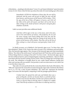of desolation…standing in the holy place" (verse 15), and "great tribulation" upon Jerusalem (verses 16-22). Notice what He then says about the order of events leading up to His return:

> *Immediately AFTER the tribulation of those days the sun* will *be darkened, and the moon will not give its light; the stars will fall from heaven, and the powers of the heavens will be shaken. THEN the sign of the Son of Man will appear in heaven, and THEN all the tribes of the earth will mourn, and the)) will see the Son of Man coming on the clouds of heaven with power and great glory*  (Matthew 24:29,30).

Luke's account provides some additional details:

*And there will be signs in the sun, in the moon, and in the stars; and on the earth distress of nations, with perplexity, the sea and the waves roaring; men's hearts failing them from fear and the expectation of those things which are coming on the earth, for the powers of the heavens will be shaken. Then they will see the Son of Man coming in a cloud with power and great glory* (Luke 21:25- 27).

In Mark's account, as in Matthew's, the heavenly signs occur "in those days, *after*  that tribulation" (Mark 13:24). Notice the order of events: *First,* tribulation and martyrdom. *Then*, the heavenly signs appear, *Then,* because of the heavenly signs and what immediately follows, "the tribes of the earth mourn" and men's hearts fail "from fear and the expectation of those thing which are coming on the earth." It is *these* events—the heavenly signs, sign of the Son of Man in heaven, and accompanying fear, mourning, and distress—that are closely associated with the Second Coming of Jesus Christ, These are things that *God* brings upon the earth. The tribulation is brought about by *men,* under Satan's influence, hating each other and warring with one another. God permits it, and even intervenes to cut it short, but is not the direct cause of it.

This order of events perfectly fits the events described in the book of Revelation. The "fifth seal" represents the martyrdom of saints during the reign of the Antichrist (Revelation 6:9-11; cf. 13:7-10), a time of great tribulation. The "sixth seal" represents the heavenly signs. Let's notice the description, comparing it with the passages quoted above:

> *I looked when He opened the sixth seal, and behold, there was a great earthquake; and the sun became black as sackcloth of hair; and the moon became like blood. And the stars of heaven fell to the earth, as a fig tree drops its late figs when it is shaken by a mighty wind. Then the sky receded as a scroll when it is rolled up, and every*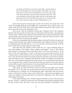*mountain and island was moved out of its place. And the kings of the earth, the great men, the commanders, the mighty men, every slave and every free man, kid themselves in the caves and in the rocks of the mountains, and said to the mountains and rocks, "Fall on us and hide us from the face of Him who sits on the throne and from the WRATH OF THE LAMB! For the GREAT DAY OF HIS WRATH HAS COME, and who is able to stand?"* (Revelation 6:12-17).

Notice that the great heavenly signs *precede* and *introduce* the "great day of His wrath"! Fear befalls kings, great and mighty men, commanders, slaves, and free men—the *whole world!* Truly, *this* is the "hour of trial which shall come upon the *whole world,* to test those who dwell on the earth" (Revelation 3:10),

But it occurs "*after* the tribulation of those days" (Matthew 24:29), The tribulation that precedes the great day of God's wrath is *not* the hour of trial! It is then—during the day of God's wrath—that the saints will be protected, Hated by the world, they suffer persecution and martyrdom up to that time; but they are protected—kept from the hour of trial—in the day God pours out His wrath upon the ungodly.

Notice that immediately after the heavenly signs (sixth seal) but before the great day of God's wrath (seventh seal), 144,000 "of all the tribes of the children of Israel" are "sealed," or marked for protection (Revelation 7:1-4; cf. 9:4). In other words, they are kept "from the hour of trial" that is coming "upon the whole world."

After John *hears* the number of those sealed, he *sees* a "great multitude which no one could number, of all nations, tribes, peoples, and tongues" (verse 9). This follows John's pattern of *hearing* and then *seeing.* John *heard* a loud voice and turned to *see* the Source of the voice (Revelation 1:10,12). As the seals were opened, John *heard* one of the "living creatures" call his attention to the event and then looked to *see* the event (Revelation 6:1,2,5,7,8). He *heard* the number of an army of horsemen and then *saw* the horses and their riders (Revelation 9:16,17), Similarly, John *heard* the number of Israelites to be sealed and then *saw* an innumerable multitude from all the nations. It is conceivable that John turned to see the group whose number he had just heard; but since the first is from the tribes of Israel and the second is from all nations, it is more probable that the innumerable multitude *includes* the 144,000 Israelites, but are not restricted to them.

These saints are "before the throne" and serve God "day and night in His temple" (Revelation 7:9,15). This does not necessarily mean that they are literally in heaven. It can be understood as a symbolic way of describing the saints' *relationship* with God and the Lamb. As Paul puts it, God has "made us alive with Christ…and raised us up together, and made us sit together in the heavenly places in Christ Jesus" (Ephesians 2:5,6). This is about relationship, not location.

If this understanding of the 144,000 and great multitude is correct, then the entire group is "sealed," or marked for protection from the plagues that befall the ungodly during the day of God's wrath. They have "come out *of* the great tribulation" (Revelation 7:14),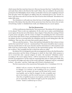which means that they must have been in it. But now, because they have "washed their robes and made them white in the blood of the Lamb" (ibid,), they are entitled to the protection promised to the Philadelphia church. If they are literally in heaven and completely removed from the place where the plagues are falling, then the command given to the "locusts" to harm "only those men who do not have the seal of God on their foreheads" (Revelation 9:4) makes little sense.

The tribulation is well underway when the hour of trial begins, and the only place in the book of Revelation that describes divine protection from that hour shows the servants of God being "sealed," or shielded from wrath, not whisked away in a secret rapture.

### **The First Resurrection**

4) Why would anyone claim that the "first resurrection" (Revelation 20:5,6) takes place in two phases? There is only one explanation: It's the only way to make a pretribulational, secret rapture fit into the text of Revelation. Since chapter 19 describes the coming of Christ in great power and glory, and the events of chapter 20 (including the first resurrection) are associated with Christ's return, pretribulationists must divide the first resurrection into two phases, the first occurring before the tribulation and the second taking place after the tribulation. That way, they can retain their pretrib rapture theory.

Why are only the martyrs—"those who had been beheaded for their witness to Jesus and for the word of God" (verse 4)—mentioned here? The answer should be clear to anyone who has read the letters to the seven churches and the exhortations to a life of patience and faith in the face of persecution. The martyrs are the representative group—the overcomers *par excellence,* They exemplify the life to which the saints are called.

Revelation 20:4-6 is designed to provide encouragement to those who find themselves under persecution and the threat of being put to death for their faith. John's purpose is not to reveal that only a special category of saints—the martyred "tribulation saints," according to the secret rapture theory—will be resurrected at this point. Rather, it is to provide encouragement to *all* the saints by reassuring them that no matter how badly they are treated by the judges and rulers of this world, ultimately "judgment [will be] committed to *them*"—the saints—and *they* "shall reign with [Christ] a thousand years."

The first resurrection is the resurrection Paul speaks of in 1 Corinthians 15:51-54:

*Behold, I tell you a mystery: We shall not all sleep, but we shall all be changed*—*in a moment, in the twinkling of an eye, at the last trumpet. For the trumpet will sound, and the dead will be raised incorruptible, and we shall be changed. For this corruptible must put on incorruption, and this mortal must put on immortality. So when this corruptible has put on incorruption, and this mortal has put on immorality, then shall be brought to pass the saying that is written: "Death is swallowed up in victory."*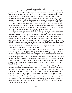#### **Wrongly Dividing the Word**

At this point, it should be clear that the secret rapture stands on shaky theological grounds. The texts so often cited as support for the theory provide no real support at all. Even pretribulationists—at least some of them—admit that the theory depends heavily on a particular system of interpretation. The system is known as *dispensationalism.* Even the wellknown author and pretribulationist Hal Lindsey admits that this method of interpretation is "absolutely essential" to resolving the question of whether the rapture occurs before, during, or after the tribulation *(The Rapture: Truth or Consequences,* Bantam Books, 1983, p, 53).

What is dispensationalism? It is a method of interpretation based on the view that the divine plan is made up of several distinct economies, or dispensations. The promises and commandments God gives to men under one dispensation do not necessarily apply to the promises and commandments He gives under another dispensation.

Generally, dispensationalists divide God's plan into seven economies, which are as follows: (1) the dispensation of innocence, which takes in the period between the creation of man and the fall; (2) the dispensation of conscience, which takes in the period between the fall and the flood; (3) the dispensation of human government, which begins in the post-flood period and ends with the confusion of languages at the tower of Babel; (4) the dispensation of Israel under promise, which begins with Abraham and ends with the giving of the law at Sinai; (5) the dispensation of Israel under law, which begins with the giving of the law and ends with Christ's death; (6) the dispensation of grace, which covers the period between Christ's death and the final tribulation; (7) the dispensation of the Millennium, which takes in the thousand-year reign of the Messiah.

No one denies that the different periods of redemptive history have distinguishing characteristics, but we should avoid making these distinctions so sharp that we fail to see the unity and smooth flow of God's unfolding plan. Dispensationalists tend to make such a sharp distinction between the "dispensation of Israel under law" and the "dispensation of grace" that they establish a radical discontinuity between Israel and the church. This is very important, for this radical distinction between Israel and the church is the foundation upon which the pretrib structure is built. If the foundation is faulty, the structure is in danger of collapsing—and dispensationalists are guilty of *wrongly* dividing the Word of truth (cf. 2 Timothy 2: 15).

According to dispensationalism, Israel's prophetic clock stopped ticking at the death of Christ, but will resume ticking seven , years before the millennial reign commences. This means that the dispensation of Israel was interrupted at the death of Christ, leaving seven years unfulfilled. The final seven years will begin when the Antichrist arrives on the scene and conclude with the visible return of Jesus Christ. The long interim between the stopping and restarting of Israel's prophetic clock is called the "great historical parenthesis." It is the "church age," or "age of grace," and was supposedly unforeseen by the prophets of old. As soon as Israel's dispensational clock starts ticking again, the church age ends. To dispensationalists, the end of the church age means the removal of the church ffom this world by way of the "secret rapture."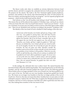The theory works only when we establish an extreme distinction between Israel and the church, and fail to recognize the continuity between God's purpose for Israel and His purpose for the church. The truth is, the New Testament applies Israel's prophecies, promises, and symbols to the church, thus demonstrating the unity of God's purpose for these two entities, and showing that God has *one* program—not two separate programs and purposes—which involves both Israel and the church.

Paul informs us that "not all Israelites truly belong to Israel" (Romans 9:6, NRSV). This means that not all the physical descendants of Abraham, Isaac, and Jacob are citizens of the true Israel. But who is the true Israel? Paul answers: "And if you are Christ's"—if you are a Christian, if you have put your faith in Christ as Savior, if the Holy Spirit resides within you—"then you are Abraham's seed, and heirs according to the promise" (Galatians 3:29).

The identity of the true Israel of God is clarified in Paul's analogy of the olive tree:

*And if some of the branches were broken off and you, being a wild olive tree, were grafted in among them, and with them became a partaker of the root and fatness of the olive tree, do not boast against the branches. But if you do boast, remember that you do not support the root, but the root supports you. You will say then, "Branches were broken off that I might be grafted in." Well said. Because of unbelief they were broken off and you stand by faith. Do not be haughty, but fear For if God did not spare the natural brunches, He may not spare you either Therefore consider the goodness and severity of God: on those who fell, severity; but toward you, goodness, if you continue in His goodness. Otherwise you also will be cut off And they also, if they do not continue in unbelief will be grafted in, for God is able to graft them in again. For if you were cut out of the olive tree which is wild by nature, and were grafted contrary to nature into a cultivated olive tree, how much more will these, who are natural branches, be grafted into their own olive tree?* (Romans 11:17-24).

In this analogy, the cultivated olive tree is ethnic Israel. The natural branches that have been broken off are the unbelieving Israelites. The remaining branches are the believing Israelites, and the wild olive branches grafted into Israel's tree are the believing gentiles. Those broken off are no longer partakers of the root of Israel's tree, but those grafted in are now a part of the tree. The latter are now true Israelites, having been grafted into Israel's tree. The former are no longer true Israelites in that they no longer partake of the root of Israel's tree. However, this does not mean that ethnic Israelites have no more place in God's redemptive purpose. Indeed, they do! When they recognize the Messiah promised in their Scriptures, and turn to God in repentance and faith, He is able to graft them into their own tree, thus making them members of the true Israel of God.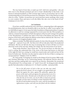The true Israel of God, then, is made up of all—both Jews and gentiles—who put their trust in the Messiah promised and sent to Israel. Membership in this body is not based on national boundaries or Old Covenant signs (such as circumcision), but on a lifetransforming faith in God and His provisions for redemption. This is what Paul has in mind when he writes, "Neither circumcision nor uncircumcision means anything; what counts is a new creation. Peace and mercy to all who follow this rule, even to the Israel of God" (Galatians 6:15,16, NIV).

#### **In Conclusion**

If you have carefully analyzed the texts cited above, comparing them with arguments for pretribulationism, then you should be able to see that the so-called "secret rapture" has no solid biblical support. It rests upon the faulty foundation of dispensationalism; it requires its adherents to read two comings (separated by several years) into the Olivet prophecy; it calls for a strained interpretation of Paul's descriptions of the Second Coming in his epistles to the Thessalonians; it redefines the saints of the book of Revelation and misses the real purpose of the book; and it adopts the dubious notion that its relatively late "discovery" was really a recovery of a longlost prophetic truth.

Make no mistake! The Bible *definitely* speaks of a time when the people of God will be "caught up"—*raptured,* if you will—but that event will not take place *before* the prophesied tribulation. But let's not fall into the trap of assuming that we know all there is to know about the events of the end-time. Rather, let's simply *obey* the instructions of our Savior.

"Keep awake therefore," Jesus Christ says, "for you do not know on what day your Lord is coming. But understand this: if the owner of the house had known in what part of the night the thief was coming, he would have stayed awake and would not have let his house be broken into. Therefore you also must be ready, for the Son of Man is coming at an unexpected hour" (Matthew 24:42-44, NRSV).

We "keep awake" by keeping our minds on the things of God, by prayer, Bible study, and Christian fellowship, *not* by constructing fantastic and elaborate theories about the end-time and then making daily news reports fit our theories. (Remember the sensational Y2K predictions?) No, we keep awake—or "watch," if you will—by doing precisely what the apostle Paul admonishes in Ephesians 6:11-18. Read it carefully—and prayerfully:

> *Put on the full armor of God so that you can take your stand against the devil's schemes. For our struggle is not against flesh and blood, but against the rulers, against the authorities, against the powers of this dark world and against the spiritual forces of evil in the heavenly realms. Therefore put on the full armor of God, so that when the day of evil comes, you nay be able to stand your ground, and after you have done everything, to stand. Stand firm then, with the belt of truth buckled around your waist, with the breastplate of righteousness in place, and with your feet fitted with the readiness*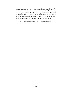*that comes from the gospel of peace. In addition to* t *all this, take tip the shield of faith, with which you can extinguish all the flaming arrows of the evil one. Take the helmet of salvation and the sword of the Spirit, which is the word of God. And pray in the Spirit on all occasions with all kinds of prayers and requests. With this in mind, be alert and always keep on praying for all the saints* (NIV).

All Scriptural quotations taken from NKJV except as noted. Author: Vance Stinson.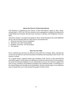# **About the Church of God International**

*This literature is published by the Church of God International, based in Tyler, Texas. Incorporated in 1978, the CGI has ministers and congregations scattered throughout the United States and Canada. We also have churches in Jamaica, the Philippines, and Australia.* 

*The CGI's mission is to preach the gospel of Jesus Christ throughout the world (Matthew 28:19). We are blessed with four basic tools to accomplish this:* 

- *1. Personal and local church evangelism.*
- *2. Television and radio broadcasting.*
- *3. Booklets, brochures, and study tapes.*
- *4. The Internet.*

# **How You Can Help**

*All our materials and services are offered to the public free of charge. Many naturally ask us how we can afford to send out thousands of booklets and study tapes each month. The answer is simple.* 

*On a regular basis, prayerful friends and members of the Church of God International voluntarily support us with tithes and offerings to further the advancement of the gospel to the world. No financial obligation is ever demanded, but if you are moved to support this work of God, donations are gratefully accepted at the addresses listed. (Contributions in the United States and Canada are tax deductible.) Giving to and through us is an effective way for people like you to help spread the gospel of Jesus Christ.*